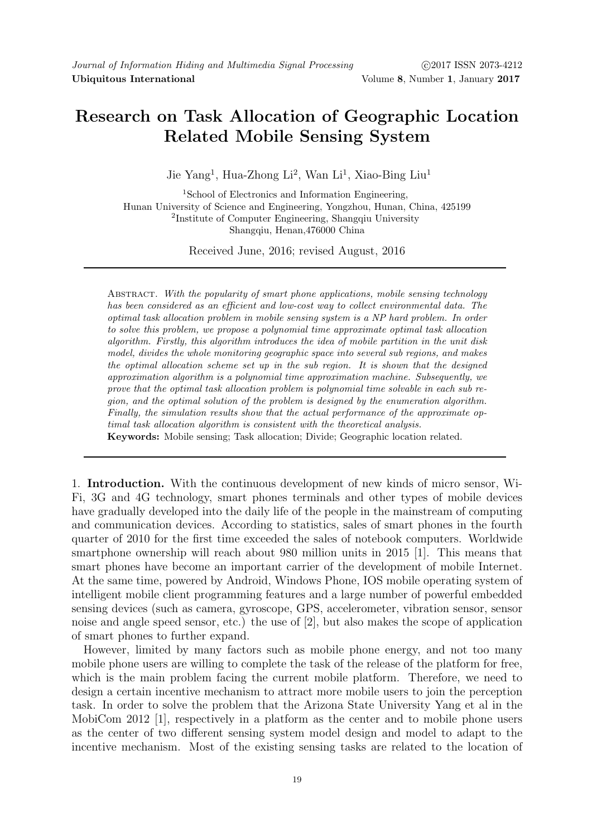## Research on Task Allocation of Geographic Location Related Mobile Sensing System

Jie Yang<sup>1</sup>, Hua-Zhong Li<sup>2</sup>, Wan Li<sup>1</sup>, Xiao-Bing Liu<sup>1</sup>

<sup>1</sup>School of Electronics and Information Engineering, Hunan University of Science and Engineering, Yongzhou, Hunan, China, 425199 2 Institute of Computer Engineering, Shangqiu University Shangqiu, Henan,476000 China

Received June, 2016; revised August, 2016

ABSTRACT. With the popularity of smart phone applications, mobile sensing technology has been considered as an efficient and low-cost way to collect environmental data. The optimal task allocation problem in mobile sensing system is a NP hard problem. In order to solve this problem, we propose a polynomial time approximate optimal task allocation algorithm. Firstly, this algorithm introduces the idea of mobile partition in the unit disk model, divides the whole monitoring geographic space into several sub regions, and makes the optimal allocation scheme set up in the sub region. It is shown that the designed approximation algorithm is a polynomial time approximation machine. Subsequently, we prove that the optimal task allocation problem is polynomial time solvable in each sub region, and the optimal solution of the problem is designed by the enumeration algorithm. Finally, the simulation results show that the actual performance of the approximate optimal task allocation algorithm is consistent with the theoretical analysis. Keywords: Mobile sensing; Task allocation; Divide; Geographic location related.

1. Introduction. With the continuous development of new kinds of micro sensor, Wi-Fi, 3G and 4G technology, smart phones terminals and other types of mobile devices have gradually developed into the daily life of the people in the mainstream of computing and communication devices. According to statistics, sales of smart phones in the fourth quarter of 2010 for the first time exceeded the sales of notebook computers. Worldwide smartphone ownership will reach about 980 million units in 2015 [1]. This means that smart phones have become an important carrier of the development of mobile Internet. At the same time, powered by Android, Windows Phone, IOS mobile operating system of intelligent mobile client programming features and a large number of powerful embedded sensing devices (such as camera, gyroscope, GPS, accelerometer, vibration sensor, sensor noise and angle speed sensor, etc.) the use of [2], but also makes the scope of application of smart phones to further expand.

However, limited by many factors such as mobile phone energy, and not too many mobile phone users are willing to complete the task of the release of the platform for free, which is the main problem facing the current mobile platform. Therefore, we need to design a certain incentive mechanism to attract more mobile users to join the perception task. In order to solve the problem that the Arizona State University Yang et al in the MobiCom 2012 [1], respectively in a platform as the center and to mobile phone users as the center of two different sensing system model design and model to adapt to the incentive mechanism. Most of the existing sensing tasks are related to the location of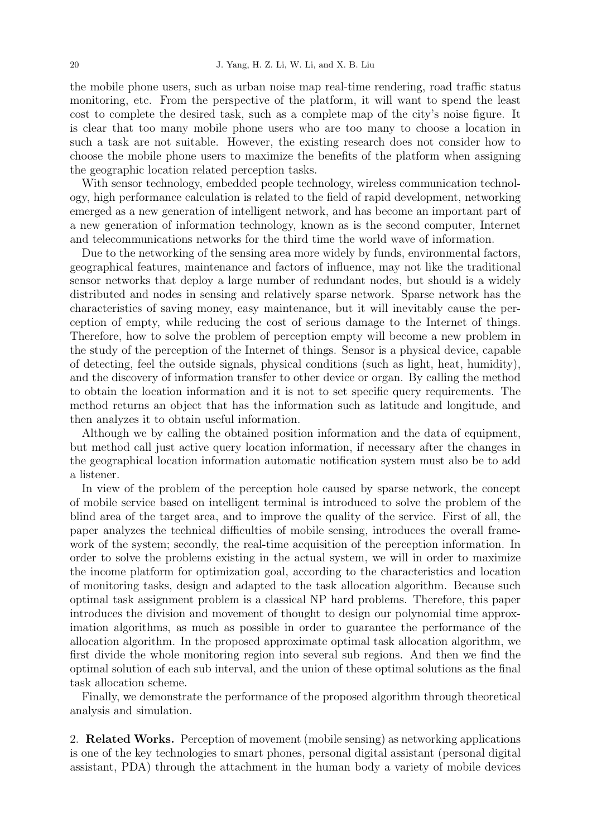the mobile phone users, such as urban noise map real-time rendering, road traffic status monitoring, etc. From the perspective of the platform, it will want to spend the least cost to complete the desired task, such as a complete map of the city's noise figure. It is clear that too many mobile phone users who are too many to choose a location in such a task are not suitable. However, the existing research does not consider how to choose the mobile phone users to maximize the benefits of the platform when assigning the geographic location related perception tasks.

With sensor technology, embedded people technology, wireless communication technology, high performance calculation is related to the field of rapid development, networking emerged as a new generation of intelligent network, and has become an important part of a new generation of information technology, known as is the second computer, Internet and telecommunications networks for the third time the world wave of information.

Due to the networking of the sensing area more widely by funds, environmental factors, geographical features, maintenance and factors of influence, may not like the traditional sensor networks that deploy a large number of redundant nodes, but should is a widely distributed and nodes in sensing and relatively sparse network. Sparse network has the characteristics of saving money, easy maintenance, but it will inevitably cause the perception of empty, while reducing the cost of serious damage to the Internet of things. Therefore, how to solve the problem of perception empty will become a new problem in the study of the perception of the Internet of things. Sensor is a physical device, capable of detecting, feel the outside signals, physical conditions (such as light, heat, humidity), and the discovery of information transfer to other device or organ. By calling the method to obtain the location information and it is not to set specific query requirements. The method returns an object that has the information such as latitude and longitude, and then analyzes it to obtain useful information.

Although we by calling the obtained position information and the data of equipment, but method call just active query location information, if necessary after the changes in the geographical location information automatic notification system must also be to add a listener.

In view of the problem of the perception hole caused by sparse network, the concept of mobile service based on intelligent terminal is introduced to solve the problem of the blind area of the target area, and to improve the quality of the service. First of all, the paper analyzes the technical difficulties of mobile sensing, introduces the overall framework of the system; secondly, the real-time acquisition of the perception information. In order to solve the problems existing in the actual system, we will in order to maximize the income platform for optimization goal, according to the characteristics and location of monitoring tasks, design and adapted to the task allocation algorithm. Because such optimal task assignment problem is a classical NP hard problems. Therefore, this paper introduces the division and movement of thought to design our polynomial time approximation algorithms, as much as possible in order to guarantee the performance of the allocation algorithm. In the proposed approximate optimal task allocation algorithm, we first divide the whole monitoring region into several sub regions. And then we find the optimal solution of each sub interval, and the union of these optimal solutions as the final task allocation scheme.

Finally, we demonstrate the performance of the proposed algorithm through theoretical analysis and simulation.

2. Related Works. Perception of movement (mobile sensing) as networking applications is one of the key technologies to smart phones, personal digital assistant (personal digital assistant, PDA) through the attachment in the human body a variety of mobile devices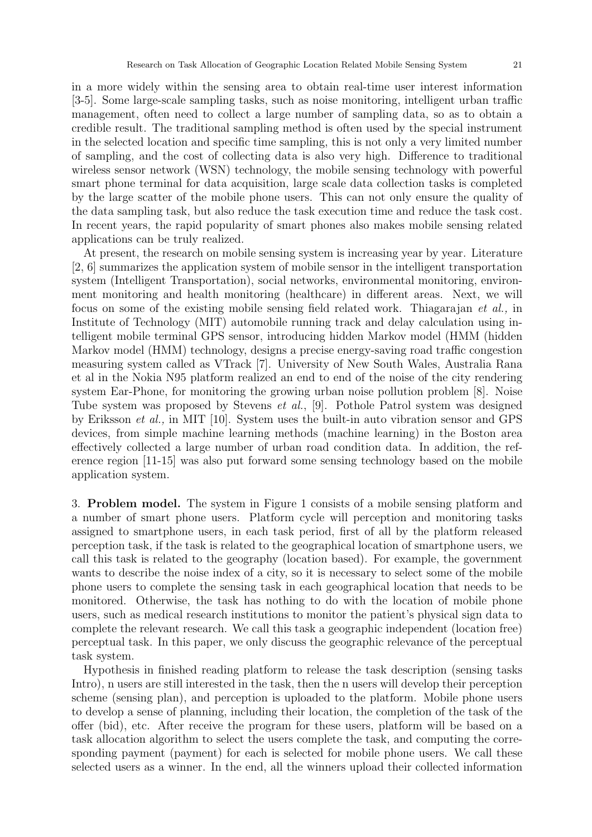in a more widely within the sensing area to obtain real-time user interest information [3-5]. Some large-scale sampling tasks, such as noise monitoring, intelligent urban traffic management, often need to collect a large number of sampling data, so as to obtain a credible result. The traditional sampling method is often used by the special instrument in the selected location and specific time sampling, this is not only a very limited number of sampling, and the cost of collecting data is also very high. Difference to traditional wireless sensor network (WSN) technology, the mobile sensing technology with powerful smart phone terminal for data acquisition, large scale data collection tasks is completed by the large scatter of the mobile phone users. This can not only ensure the quality of the data sampling task, but also reduce the task execution time and reduce the task cost. In recent years, the rapid popularity of smart phones also makes mobile sensing related applications can be truly realized.

At present, the research on mobile sensing system is increasing year by year. Literature [2, 6] summarizes the application system of mobile sensor in the intelligent transportation system (Intelligent Transportation), social networks, environmental monitoring, environment monitoring and health monitoring (healthcare) in different areas. Next, we will focus on some of the existing mobile sensing field related work. Thiagarajan et al., in Institute of Technology (MIT) automobile running track and delay calculation using intelligent mobile terminal GPS sensor, introducing hidden Markov model (HMM (hidden Markov model (HMM) technology, designs a precise energy-saving road traffic congestion measuring system called as VTrack [7]. University of New South Wales, Australia Rana et al in the Nokia N95 platform realized an end to end of the noise of the city rendering system Ear-Phone, for monitoring the growing urban noise pollution problem [8]. Noise Tube system was proposed by Stevens et al., [9]. Pothole Patrol system was designed by Eriksson et al., in MIT [10]. System uses the built-in auto vibration sensor and GPS devices, from simple machine learning methods (machine learning) in the Boston area effectively collected a large number of urban road condition data. In addition, the reference region [11-15] was also put forward some sensing technology based on the mobile application system.

3. Problem model. The system in Figure 1 consists of a mobile sensing platform and a number of smart phone users. Platform cycle will perception and monitoring tasks assigned to smartphone users, in each task period, first of all by the platform released perception task, if the task is related to the geographical location of smartphone users, we call this task is related to the geography (location based). For example, the government wants to describe the noise index of a city, so it is necessary to select some of the mobile phone users to complete the sensing task in each geographical location that needs to be monitored. Otherwise, the task has nothing to do with the location of mobile phone users, such as medical research institutions to monitor the patient's physical sign data to complete the relevant research. We call this task a geographic independent (location free) perceptual task. In this paper, we only discuss the geographic relevance of the perceptual task system.

Hypothesis in finished reading platform to release the task description (sensing tasks Intro), n users are still interested in the task, then the n users will develop their perception scheme (sensing plan), and perception is uploaded to the platform. Mobile phone users to develop a sense of planning, including their location, the completion of the task of the offer (bid), etc. After receive the program for these users, platform will be based on a task allocation algorithm to select the users complete the task, and computing the corresponding payment (payment) for each is selected for mobile phone users. We call these selected users as a winner. In the end, all the winners upload their collected information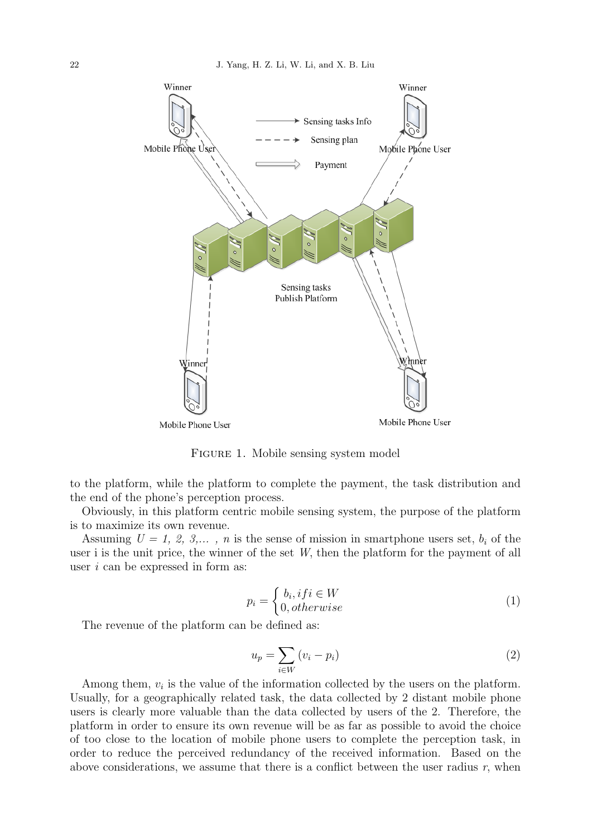

FIGURE 1. Mobile sensing system model

to the platform, while the platform to complete the payment, the task distribution and the end of the phone's perception process.

Obviously, in this platform centric mobile sensing system, the purpose of the platform is to maximize its own revenue.

Assuming  $U = 1, 2, 3,..., n$  is the sense of mission in smartphone users set,  $b_i$  of the user i is the unit price, the winner of the set W, then the platform for the payment of all user  $i$  can be expressed in form as:

$$
p_i = \begin{cases} b_i, if i \in W \\ 0, otherwise \end{cases} \tag{1}
$$

The revenue of the platform can be defined as:

$$
u_p = \sum_{i \in W} (v_i - p_i) \tag{2}
$$

Among them,  $v_i$  is the value of the information collected by the users on the platform. Usually, for a geographically related task, the data collected by 2 distant mobile phone users is clearly more valuable than the data collected by users of the 2. Therefore, the platform in order to ensure its own revenue will be as far as possible to avoid the choice of too close to the location of mobile phone users to complete the perception task, in order to reduce the perceived redundancy of the received information. Based on the above considerations, we assume that there is a conflict between the user radius  $r$ , when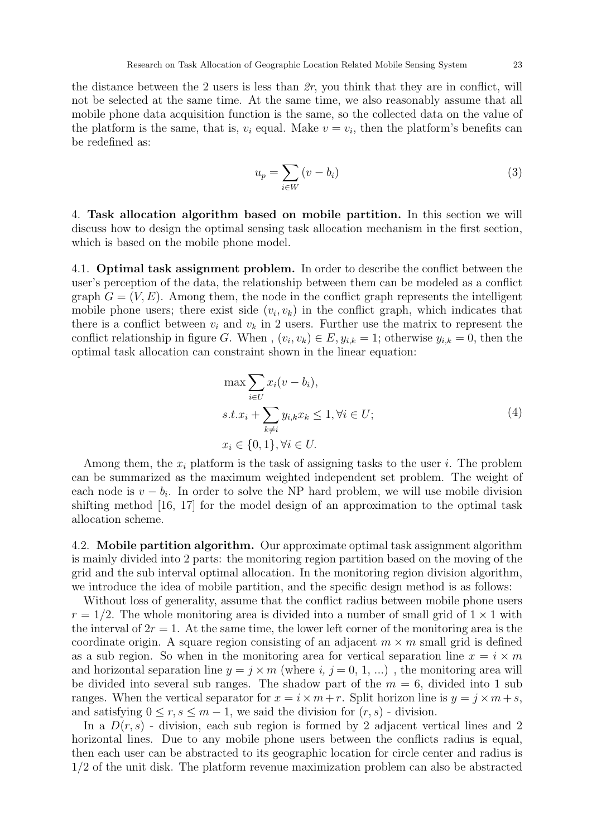the distance between the 2 users is less than  $2r$ , you think that they are in conflict, will not be selected at the same time. At the same time, we also reasonably assume that all mobile phone data acquisition function is the same, so the collected data on the value of the platform is the same, that is,  $v_i$  equal. Make  $v = v_i$ , then the platform's benefits can be redefined as:

$$
u_p = \sum_{i \in W} (v - b_i) \tag{3}
$$

4. Task allocation algorithm based on mobile partition. In this section we will discuss how to design the optimal sensing task allocation mechanism in the first section, which is based on the mobile phone model.

4.1. Optimal task assignment problem. In order to describe the conflict between the user's perception of the data, the relationship between them can be modeled as a conflict graph  $G = (V, E)$ . Among them, the node in the conflict graph represents the intelligent mobile phone users; there exist side  $(v_i, v_k)$  in the conflict graph, which indicates that there is a conflict between  $v_i$  and  $v_k$  in 2 users. Further use the matrix to represent the conflict relationship in figure G. When,  $(v_i, v_k) \in E$ ,  $y_{i,k} = 1$ ; otherwise  $y_{i,k} = 0$ , then the optimal task allocation can constraint shown in the linear equation:

$$
\max \sum_{i \in U} x_i (v - b_i),
$$
  
s.t. $x_i + \sum_{k \neq i} y_{i,k} x_k \leq 1, \forall i \in U;$   

$$
x_i \in \{0, 1\}, \forall i \in U.
$$
  
(4)

Among them, the  $x_i$  platform is the task of assigning tasks to the user i. The problem can be summarized as the maximum weighted independent set problem. The weight of each node is  $v - b_i$ . In order to solve the NP hard problem, we will use mobile division shifting method [16, 17] for the model design of an approximation to the optimal task allocation scheme.

4.2. Mobile partition algorithm. Our approximate optimal task assignment algorithm is mainly divided into 2 parts: the monitoring region partition based on the moving of the grid and the sub interval optimal allocation. In the monitoring region division algorithm, we introduce the idea of mobile partition, and the specific design method is as follows:

Without loss of generality, assume that the conflict radius between mobile phone users  $r = 1/2$ . The whole monitoring area is divided into a number of small grid of  $1 \times 1$  with the interval of  $2r = 1$ . At the same time, the lower left corner of the monitoring area is the coordinate origin. A square region consisting of an adjacent  $m \times m$  small grid is defined as a sub region. So when in the monitoring area for vertical separation line  $x = i \times m$ and horizontal separation line  $y = i \times m$  (where i,  $i = 0, 1, ...$ ), the monitoring area will be divided into several sub ranges. The shadow part of the  $m = 6$ , divided into 1 sub ranges. When the vertical separator for  $x = i \times m + r$ . Split horizon line is  $y = j \times m + s$ , and satisfying  $0 \le r, s \le m-1$ , we said the division for  $(r, s)$  - division.

In a  $D(r, s)$  - division, each sub region is formed by 2 adjacent vertical lines and 2 horizontal lines. Due to any mobile phone users between the conflicts radius is equal, then each user can be abstracted to its geographic location for circle center and radius is 1/2 of the unit disk. The platform revenue maximization problem can also be abstracted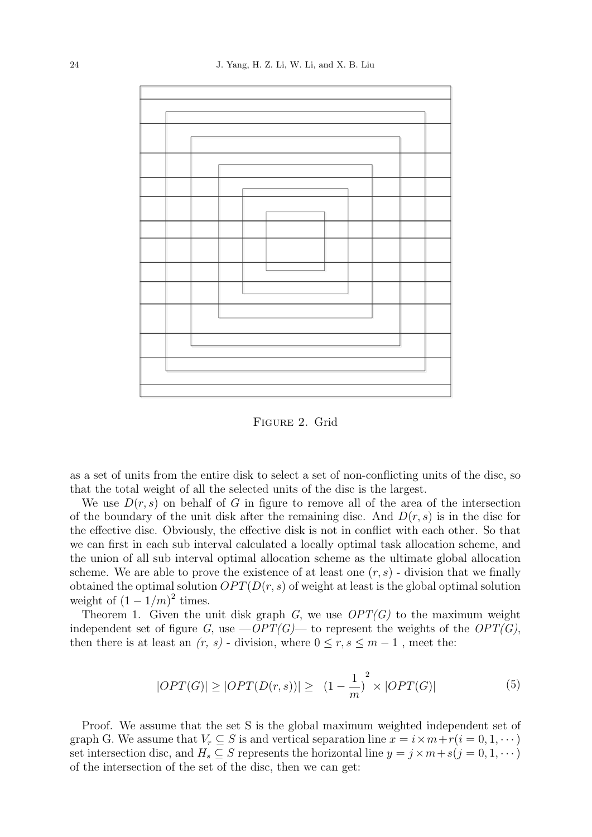![](_page_5_Figure_1.jpeg)

Figure 2. Grid

as a set of units from the entire disk to select a set of non-conflicting units of the disc, so that the total weight of all the selected units of the disc is the largest.

We use  $D(r, s)$  on behalf of G in figure to remove all of the area of the intersection of the boundary of the unit disk after the remaining disc. And  $D(r, s)$  is in the disc for the effective disc. Obviously, the effective disk is not in conflict with each other. So that we can first in each sub interval calculated a locally optimal task allocation scheme, and the union of all sub interval optimal allocation scheme as the ultimate global allocation scheme. We are able to prove the existence of at least one  $(r, s)$  - division that we finally obtained the optimal solution  $OPT(D(r, s)$  of weight at least is the global optimal solution weight of  $(1 - 1/m)^2$  times.

Theorem 1. Given the unit disk graph  $G$ , we use  $OPT(G)$  to the maximum weight independent set of figure G, use  $-OPT(G)$ — to represent the weights of the  $OPT(G)$ , then there is at least an  $(r, s)$  - division, where  $0 \le r, s \le m-1$ , meet the:

$$
|OPT(G)| \ge |OPT(D(r, s))| \ge |(1 - \frac{1}{m})^2 \times |OPT(G)| \tag{5}
$$

Proof. We assume that the set S is the global maximum weighted independent set of graph G. We assume that  $V_r \subseteq S$  is and vertical separation line  $x = i \times m + r(i = 0, 1, \dots)$ set intersection disc, and  $H_s \subseteq S$  represents the horizontal line  $y = j \times m + s(j = 0, 1, \dots)$ of the intersection of the set of the disc, then we can get: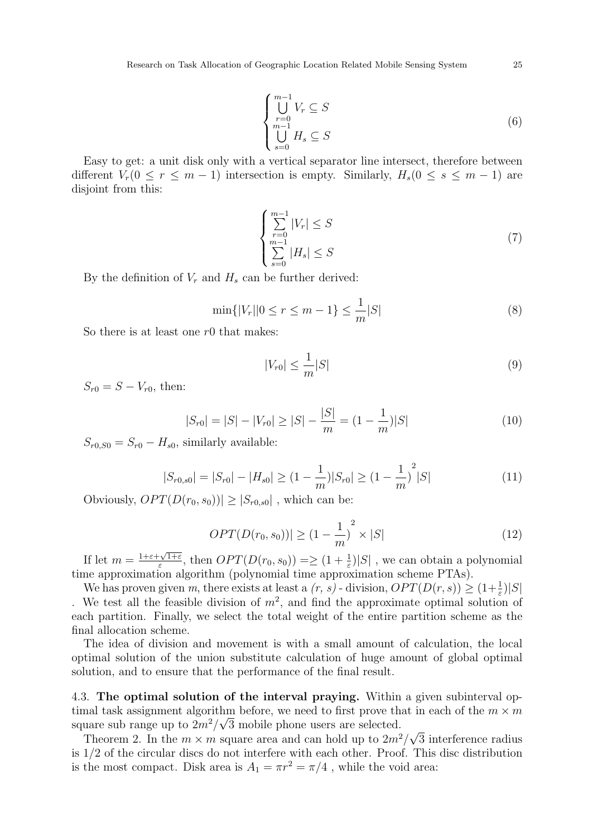$$
\begin{cases}\n\bigcup_{r=0}^{m-1} V_r \subseteq S \\
\bigcup_{s=0}^{m-1} H_s \subseteq S\n\end{cases}
$$
\n(6)

Easy to get: a unit disk only with a vertical separator line intersect, therefore between different  $V_r(0 \le r \le m-1)$  intersection is empty. Similarly,  $H_s(0 \le s \le m-1)$  are disjoint from this:

$$
\begin{cases} \sum_{r=0}^{m-1} |V_r| \le S\\ \sum_{s=0}^{m-1} |H_s| \le S \end{cases} \tag{7}
$$

By the definition of  $V_r$  and  $H_s$  can be further derived:

$$
\min\{|V_r||0 \le r \le m - 1\} \le \frac{1}{m}|S|
$$
\n(8)

So there is at least one  $r0$  that makes:

$$
|V_{r0}| \le \frac{1}{m}|S| \tag{9}
$$

 $S_{r0} = S - V_{r0}$ , then:

$$
|S_{r0}| = |S| - |V_{r0}| \ge |S| - \frac{|S|}{m} = (1 - \frac{1}{m})|S|
$$
\n(10)

 $S_{r0,S0} = S_{r0} - H_{s0}$ , similarly available:

$$
|S_{r0,s0}| = |S_{r0}| - |H_{s0}| \ge (1 - \frac{1}{m})|S_{r0}| \ge (1 - \frac{1}{m})^2|S| \tag{11}
$$

Obviously,  $OPT(D(r_0, s_0)) \geq |S_{r_0, s_0}|$ , which can be:

$$
OPT(D(r_0, s_0)) \ge (1 - \frac{1}{m})^2 \times |S| \tag{12}
$$

If let  $m = \frac{1+\varepsilon+\sqrt{1+\varepsilon}}{\varepsilon}$  $\frac{C\sqrt{1+\varepsilon}}{\varepsilon}$ , then  $OPT(D(r_0, s_0)) = \geq (1 + \frac{1}{\varepsilon})|S|$ , we can obtain a polynomial time approximation algorithm (polynomial time approximation scheme PTAs).

We has proven given m, there exists at least a  $(r, s)$  - division,  $OPT(D(r, s)) \geq (1 + \frac{1}{\varepsilon})|S|$ . We test all the feasible division of  $m^2$ , and find the approximate optimal solution of each partition. Finally, we select the total weight of the entire partition scheme as the final allocation scheme.

The idea of division and movement is with a small amount of calculation, the local optimal solution of the union substitute calculation of huge amount of global optimal solution, and to ensure that the performance of the final result.

4.3. The optimal solution of the interval praying. Within a given subinterval optimal task assignment algorithm before, we need to first prove that in each of the  $m \times m$ square sub range up to  $2m^2/\sqrt{3}$  mobile phone users are selected. √

Theorem 2. In the  $m \times m$  square area and can hold up to  $2m^2/$ 3 interference radius is 1/2 of the circular discs do not interfere with each other. Proof. This disc distribution is the most compact. Disk area is  $A_1 = \pi r^2 = \pi/4$ , while the void area: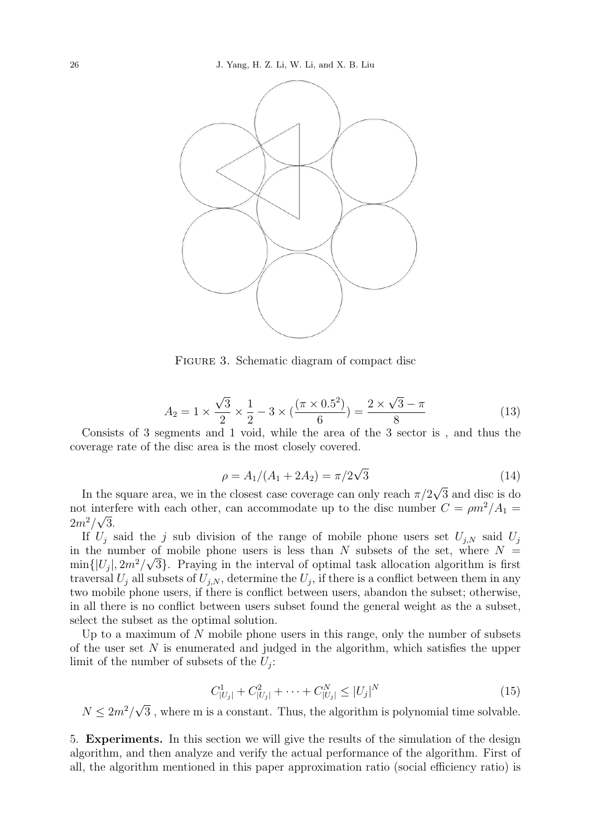![](_page_7_Figure_1.jpeg)

FIGURE 3. Schematic diagram of compact disc

$$
A_2 = 1 \times \frac{\sqrt{3}}{2} \times \frac{1}{2} - 3 \times (\frac{(\pi \times 0.5^2)}{6}) = \frac{2 \times \sqrt{3} - \pi}{8}
$$
 (13)

Consists of 3 segments and 1 void, while the area of the 3 sector is , and thus the coverage rate of the disc area is the most closely covered.

$$
\rho = A_1/(A_1 + 2A_2) = \pi/2\sqrt{3}
$$
\n(14)

In the square area, we in the closest case coverage can only reach  $\pi/2$ 3 and disc is do not interfere with each other, can accommodate up to the disc number  $C = \rho m^2 / A_1 =$  $2m^2/\sqrt{3}$ .

If  $U_i$  said the j sub division of the range of mobile phone users set  $U_{i,N}$  said  $U_i$ in the number of mobile phone users is less than N subsets of the set, where  $N =$  $\min\{|U_j|, 2m^2/\sqrt{3}\}.$  Praying in the interval of optimal task allocation algorithm is first traversal  $U_j$  all subsets of  $U_{j,N}$ , determine the  $U_j$ , if there is a conflict between them in any two mobile phone users, if there is conflict between users, abandon the subset; otherwise, in all there is no conflict between users subset found the general weight as the a subset, select the subset as the optimal solution.

Up to a maximum of  $N$  mobile phone users in this range, only the number of subsets of the user set  $N$  is enumerated and judged in the algorithm, which satisfies the upper limit of the number of subsets of the  $U_j$ :

$$
C_{|U_j|}^1 + C_{|U_j|}^2 + \dots + C_{|U_j|}^N \le |U_j|^N \tag{15}
$$

 $N \leq 2m^2/$ √ 3 , where m is a constant. Thus, the algorithm is polynomial time solvable.

5. Experiments. In this section we will give the results of the simulation of the design algorithm, and then analyze and verify the actual performance of the algorithm. First of all, the algorithm mentioned in this paper approximation ratio (social efficiency ratio) is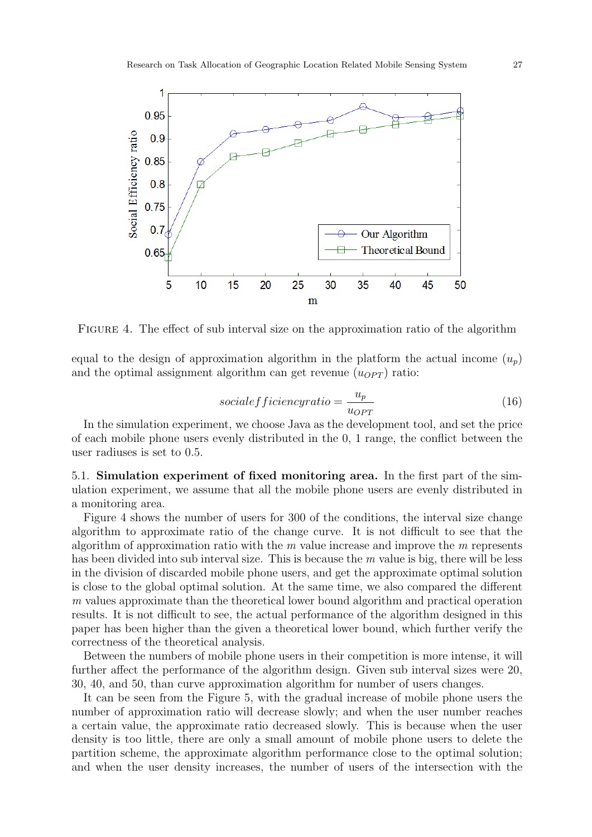![](_page_8_Figure_1.jpeg)

Figure 4. The effect of sub interval size on the approximation ratio of the algorithm

equal to the design of approximation algorithm in the platform the actual income  $(u_p)$ and the optimal assignment algorithm can get revenue  $(u_{OPT})$  ratio:

$$
social efficiency ratio = \frac{u_p}{u_{OPT}}
$$
\n(16)

In the simulation experiment, we choose Java as the development tool, and set the price of each mobile phone users evenly distributed in the 0, 1 range, the conflict between the user radiuses is set to 0.5.

5.1. Simulation experiment of fixed monitoring area. In the first part of the simulation experiment, we assume that all the mobile phone users are evenly distributed in a monitoring area.

Figure 4 shows the number of users for 300 of the conditions, the interval size change algorithm to approximate ratio of the change curve. It is not difficult to see that the algorithm of approximation ratio with the  $m$  value increase and improve the  $m$  represents has been divided into sub interval size. This is because the  $m$  value is big, there will be less in the division of discarded mobile phone users, and get the approximate optimal solution is close to the global optimal solution. At the same time, we also compared the different m values approximate than the theoretical lower bound algorithm and practical operation results. It is not difficult to see, the actual performance of the algorithm designed in this paper has been higher than the given a theoretical lower bound, which further verify the correctness of the theoretical analysis.

Between the numbers of mobile phone users in their competition is more intense, it will further affect the performance of the algorithm design. Given sub interval sizes were 20, 30, 40, and 50, than curve approximation algorithm for number of users changes.

It can be seen from the Figure 5, with the gradual increase of mobile phone users the number of approximation ratio will decrease slowly; and when the user number reaches a certain value, the approximate ratio decreased slowly. This is because when the user density is too little, there are only a small amount of mobile phone users to delete the partition scheme, the approximate algorithm performance close to the optimal solution; and when the user density increases, the number of users of the intersection with the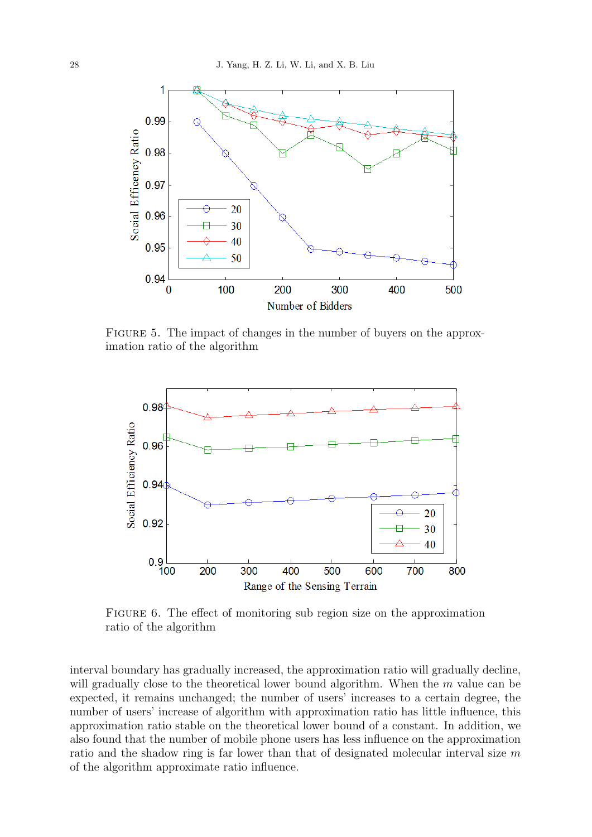![](_page_9_Figure_1.jpeg)

FIGURE 5. The impact of changes in the number of buyers on the approximation ratio of the algorithm

![](_page_9_Figure_3.jpeg)

FIGURE 6. The effect of monitoring sub region size on the approximation ratio of the algorithm

interval boundary has gradually increased, the approximation ratio will gradually decline, will gradually close to the theoretical lower bound algorithm. When the m value can be expected, it remains unchanged; the number of users' increases to a certain degree, the number of users' increase of algorithm with approximation ratio has little influence, this approximation ratio stable on the theoretical lower bound of a constant. In addition, we also found that the number of mobile phone users has less influence on the approximation ratio and the shadow ring is far lower than that of designated molecular interval size  $m$ of the algorithm approximate ratio influence.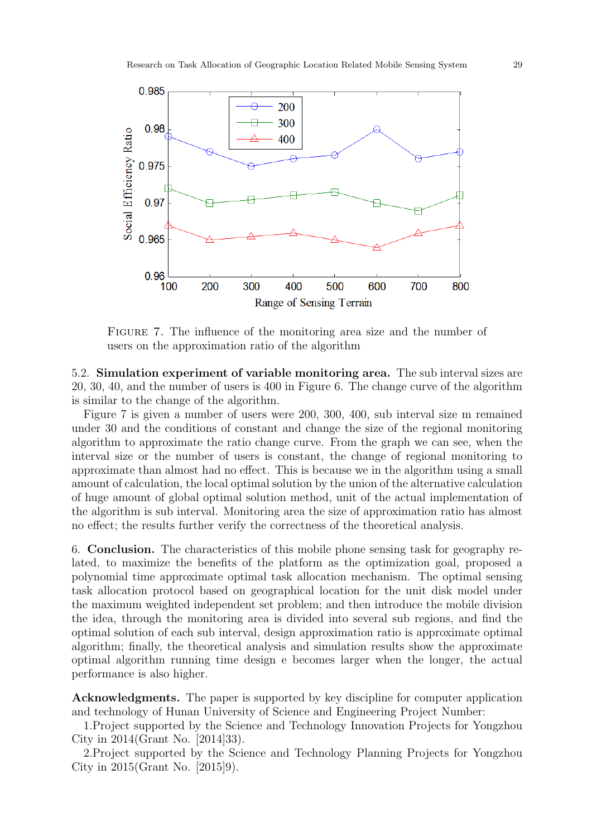![](_page_10_Figure_1.jpeg)

FIGURE 7. The influence of the monitoring area size and the number of users on the approximation ratio of the algorithm

5.2. Simulation experiment of variable monitoring area. The sub interval sizes are 20, 30, 40, and the number of users is 400 in Figure 6. The change curve of the algorithm is similar to the change of the algorithm.

Figure 7 is given a number of users were 200, 300, 400, sub interval size m remained under 30 and the conditions of constant and change the size of the regional monitoring algorithm to approximate the ratio change curve. From the graph we can see, when the interval size or the number of users is constant, the change of regional monitoring to approximate than almost had no effect. This is because we in the algorithm using a small amount of calculation, the local optimal solution by the union of the alternative calculation of huge amount of global optimal solution method, unit of the actual implementation of the algorithm is sub interval. Monitoring area the size of approximation ratio has almost no effect; the results further verify the correctness of the theoretical analysis.

6. Conclusion. The characteristics of this mobile phone sensing task for geography related, to maximize the benefits of the platform as the optimization goal, proposed a polynomial time approximate optimal task allocation mechanism. The optimal sensing task allocation protocol based on geographical location for the unit disk model under the maximum weighted independent set problem; and then introduce the mobile division the idea, through the monitoring area is divided into several sub regions, and find the optimal solution of each sub interval, design approximation ratio is approximate optimal algorithm; finally, the theoretical analysis and simulation results show the approximate optimal algorithm running time design e becomes larger when the longer, the actual performance is also higher.

Acknowledgments. The paper is supported by key discipline for computer application and technology of Hunan University of Science and Engineering Project Number:

1.Project supported by the Science and Technology Innovation Projects for Yongzhou City in 2014(Grant No. [2014]33).

2.Project supported by the Science and Technology Planning Projects for Yongzhou City in 2015(Grant No. [2015]9).